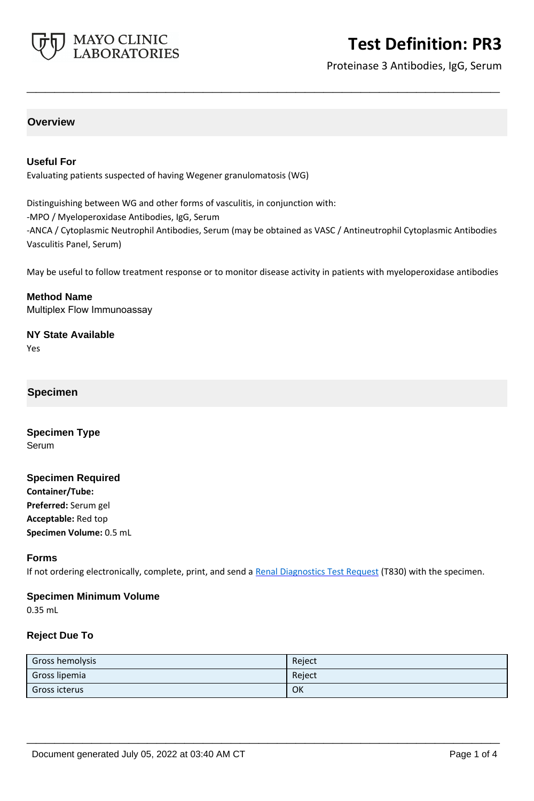

# **Test Definition: PR3**

Proteinase 3 Antibodies, IgG, Serum

## **Overview**

## **Useful For**

Evaluating patients suspected of having Wegener granulomatosis (WG)

Distinguishing between WG and other forms of vasculitis, in conjunction with:

-MPO / Myeloperoxidase Antibodies, IgG, Serum

-ANCA / Cytoplasmic Neutrophil Antibodies, Serum (may be obtained as VASC / Antineutrophil Cytoplasmic Antibodies Vasculitis Panel, Serum)

**\_\_\_\_\_\_\_\_\_\_\_\_\_\_\_\_\_\_\_\_\_\_\_\_\_\_\_\_\_\_\_\_\_\_\_\_\_\_\_\_\_\_\_\_\_\_\_\_\_\_\_**

May be useful to follow treatment response or to monitor disease activity in patients with myeloperoxidase antibodies

**Method Name** Multiplex Flow Immunoassay

**NY State Available**

Yes

#### **Specimen**

**Specimen Type** Serum

#### **Specimen Required**

**Container/Tube: Preferred:** Serum gel **Acceptable:** Red top **Specimen Volume:** 0.5 mL

#### **Forms**

If not ordering electronically, complete, print, and send a [Renal Diagnostics Test Request](https://www.mayocliniclabs.com/it-mmfiles/Renal-Diagnostics-Request-Form_MC0767-11.pdf) (T830) with the specimen.

## **Specimen Minimum Volume**

0.35 mL

#### **Reject Due To**

| Gross hemolysis | Reject |
|-----------------|--------|
| Gross lipemia   | Reject |
| Gross icterus   | OK     |

**\_\_\_\_\_\_\_\_\_\_\_\_\_\_\_\_\_\_\_\_\_\_\_\_\_\_\_\_\_\_\_\_\_\_\_\_\_\_\_\_\_\_\_\_\_\_\_\_\_\_\_**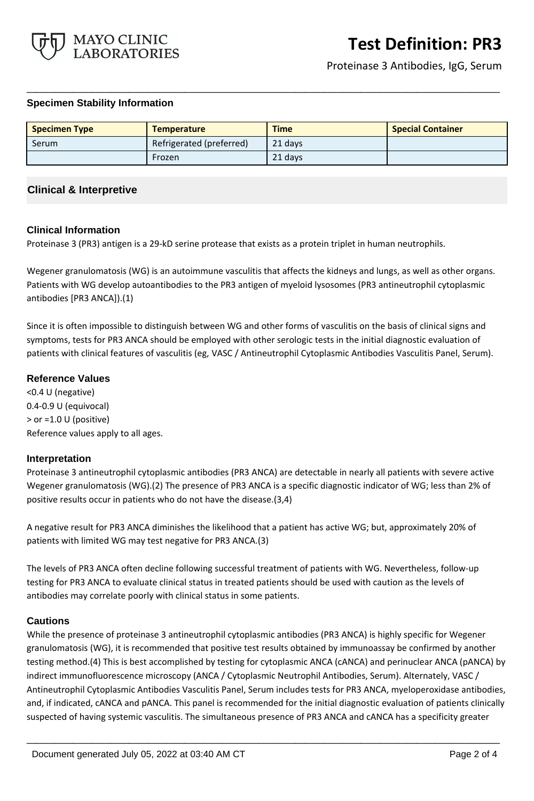

Proteinase 3 Antibodies, IgG, Serum

#### **Specimen Stability Information**

| <b>Specimen Type</b> | <b>Temperature</b>       | <b>Time</b> | <b>Special Container</b> |
|----------------------|--------------------------|-------------|--------------------------|
| Serum                | Refrigerated (preferred) | 21 days     |                          |
|                      | Frozen                   | 21 days     |                          |

**\_\_\_\_\_\_\_\_\_\_\_\_\_\_\_\_\_\_\_\_\_\_\_\_\_\_\_\_\_\_\_\_\_\_\_\_\_\_\_\_\_\_\_\_\_\_\_\_\_\_\_**

## **Clinical & Interpretive**

#### **Clinical Information**

Proteinase 3 (PR3) antigen is a 29-kD serine protease that exists as a protein triplet in human neutrophils.

Wegener granulomatosis (WG) is an autoimmune vasculitis that affects the kidneys and lungs, as well as other organs. Patients with WG develop autoantibodies to the PR3 antigen of myeloid lysosomes (PR3 antineutrophil cytoplasmic antibodies [PR3 ANCA]).(1)

Since it is often impossible to distinguish between WG and other forms of vasculitis on the basis of clinical signs and symptoms, tests for PR3 ANCA should be employed with other serologic tests in the initial diagnostic evaluation of patients with clinical features of vasculitis (eg, VASC / Antineutrophil Cytoplasmic Antibodies Vasculitis Panel, Serum).

## **Reference Values**

<0.4 U (negative) 0.4-0.9 U (equivocal) > or =1.0 U (positive) Reference values apply to all ages.

#### **Interpretation**

Proteinase 3 antineutrophil cytoplasmic antibodies (PR3 ANCA) are detectable in nearly all patients with severe active Wegener granulomatosis (WG).(2) The presence of PR3 ANCA is a specific diagnostic indicator of WG; less than 2% of positive results occur in patients who do not have the disease.(3,4)

A negative result for PR3 ANCA diminishes the likelihood that a patient has active WG; but, approximately 20% of patients with limited WG may test negative for PR3 ANCA.(3)

The levels of PR3 ANCA often decline following successful treatment of patients with WG. Nevertheless, follow-up testing for PR3 ANCA to evaluate clinical status in treated patients should be used with caution as the levels of antibodies may correlate poorly with clinical status in some patients.

#### **Cautions**

While the presence of proteinase 3 antineutrophil cytoplasmic antibodies (PR3 ANCA) is highly specific for Wegener granulomatosis (WG), it is recommended that positive test results obtained by immunoassay be confirmed by another testing method.(4) This is best accomplished by testing for cytoplasmic ANCA (cANCA) and perinuclear ANCA (pANCA) by indirect immunofluorescence microscopy (ANCA / Cytoplasmic Neutrophil Antibodies, Serum). Alternately, VASC / Antineutrophil Cytoplasmic Antibodies Vasculitis Panel, Serum includes tests for PR3 ANCA, myeloperoxidase antibodies, and, if indicated, cANCA and pANCA. This panel is recommended for the initial diagnostic evaluation of patients clinically suspected of having systemic vasculitis. The simultaneous presence of PR3 ANCA and cANCA has a specificity greater

**\_\_\_\_\_\_\_\_\_\_\_\_\_\_\_\_\_\_\_\_\_\_\_\_\_\_\_\_\_\_\_\_\_\_\_\_\_\_\_\_\_\_\_\_\_\_\_\_\_\_\_**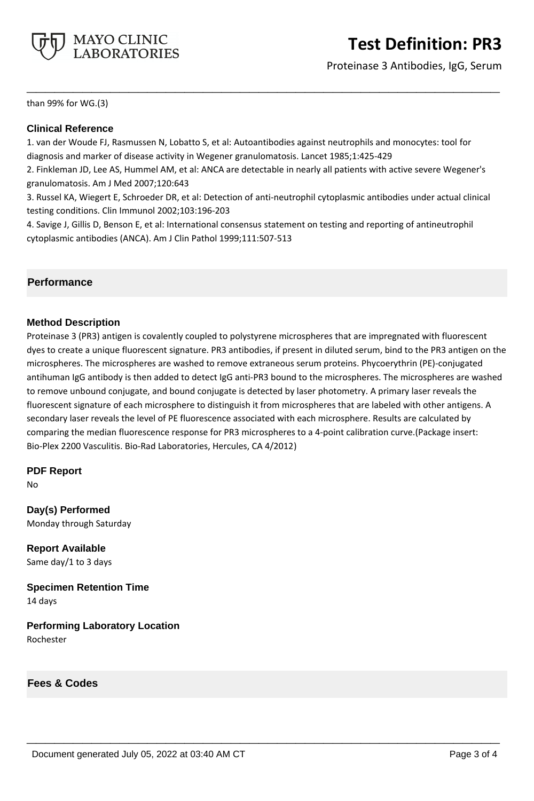

# **Test Definition: PR3**

Proteinase 3 Antibodies, IgG, Serum

than 99% for WG.(3)

## **Clinical Reference**

1. van der Woude FJ, Rasmussen N, Lobatto S, et al: Autoantibodies against neutrophils and monocytes: tool for diagnosis and marker of disease activity in Wegener granulomatosis. Lancet 1985;1:425-429

2. Finkleman JD, Lee AS, Hummel AM, et al: ANCA are detectable in nearly all patients with active severe Wegener's granulomatosis. Am J Med 2007;120:643

**\_\_\_\_\_\_\_\_\_\_\_\_\_\_\_\_\_\_\_\_\_\_\_\_\_\_\_\_\_\_\_\_\_\_\_\_\_\_\_\_\_\_\_\_\_\_\_\_\_\_\_**

3. Russel KA, Wiegert E, Schroeder DR, et al: Detection of anti-neutrophil cytoplasmic antibodies under actual clinical testing conditions. Clin Immunol 2002;103:196-203

4. Savige J, Gillis D, Benson E, et al: International consensus statement on testing and reporting of antineutrophil cytoplasmic antibodies (ANCA). Am J Clin Pathol 1999;111:507-513

## **Performance**

#### **Method Description**

Proteinase 3 (PR3) antigen is covalently coupled to polystyrene microspheres that are impregnated with fluorescent dyes to create a unique fluorescent signature. PR3 antibodies, if present in diluted serum, bind to the PR3 antigen on the microspheres. The microspheres are washed to remove extraneous serum proteins. Phycoerythrin (PE)-conjugated antihuman IgG antibody is then added to detect IgG anti-PR3 bound to the microspheres. The microspheres are washed to remove unbound conjugate, and bound conjugate is detected by laser photometry. A primary laser reveals the fluorescent signature of each microsphere to distinguish it from microspheres that are labeled with other antigens. A secondary laser reveals the level of PE fluorescence associated with each microsphere. Results are calculated by comparing the median fluorescence response for PR3 microspheres to a 4-point calibration curve.(Package insert: Bio-Plex 2200 Vasculitis. Bio-Rad Laboratories, Hercules, CA 4/2012)

**\_\_\_\_\_\_\_\_\_\_\_\_\_\_\_\_\_\_\_\_\_\_\_\_\_\_\_\_\_\_\_\_\_\_\_\_\_\_\_\_\_\_\_\_\_\_\_\_\_\_\_**

#### **PDF Report**

No

**Day(s) Performed** Monday through Saturday

**Report Available** Same day/1 to 3 days

**Specimen Retention Time** 14 days

**Performing Laboratory Location** Rochester

**Fees & Codes**